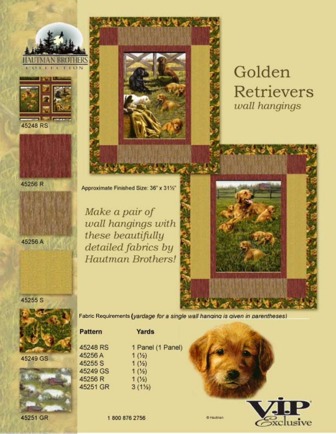







45256 A

Approximate Finished Size: 36" x 311/2"

Make a pair of wall hangings with these beautifully detailed fabrics by **Hautman Brothers!** 



45255 S



**Pattern** 

45248 RS 45256A

45255 S 45249 GS 45256 R 45251 GR

45249 GS



45251 GR

Fabric Requirements (yardage for a single wall hanging is given in parentheses)

| Yards            |
|------------------|
| 1 Panel (1 Panel |
| $1(Y_2)$         |
| 1(1/2)           |
| 1(2)             |
| $1(Y_2)$         |
| $3(1\%)$         |
|                  |



**O Hautman**